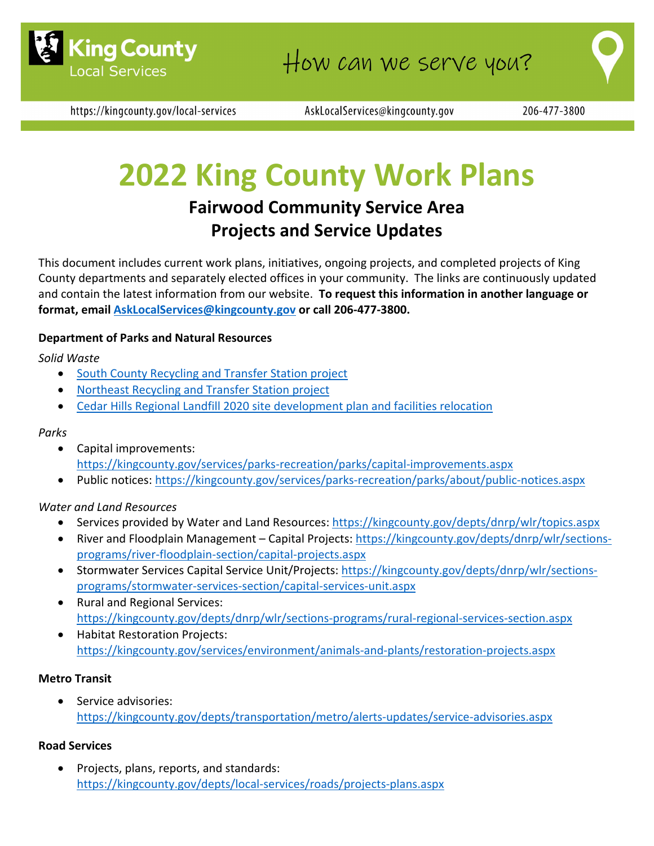

https://kingcounty.gov/local-services

AskLocalServices@kingcounty.gov

# **2022 King County Work Plans**

# **Fairwood Community Service Area Projects and Service Updates**

This document includes current work plans, initiatives, ongoing projects, and completed projects of King County departments and separately elected offices in your community. The links are continuously updated and contain the latest information from our website. **To request this information in another language or format, email [AskLocalServices@kingcounty.gov](mailto:AskLocalServices@kingcounty.gov) or call 206-477-3800.**

## **Department of Parks and Natural Resources**

*Solid Waste*

- [South County Recycling and Transfer Station project](https://kingcounty.gov/depts/dnrp/solid-waste/facilities/south-county.aspx)
- [Northeast Recycling and Transfer Station project](https://kingcounty.gov/depts/dnrp/solid-waste/facilities/northeast.aspx)
- [Cedar Hills Regional Landfill 2020 site development plan and facilities relocation](https://kingcounty.gov/depts/dnrp/solid-waste/facilities/landfills/cedar-hills-development.aspx)

#### *Parks*

- Capital improvements: <https://kingcounty.gov/services/parks-recreation/parks/capital-improvements.aspx>
- Public notices:<https://kingcounty.gov/services/parks-recreation/parks/about/public-notices.aspx>

## *Water and Land Resources*

- Services provided by Water and Land Resources:<https://kingcounty.gov/depts/dnrp/wlr/topics.aspx>
- River and Floodplain Management Capital Projects: [https://kingcounty.gov/depts/dnrp/wlr/sections](https://kingcounty.gov/depts/dnrp/wlr/sections-programs/river-floodplain-section/capital-projects.aspx)[programs/river-floodplain-section/capital-projects.aspx](https://kingcounty.gov/depts/dnrp/wlr/sections-programs/river-floodplain-section/capital-projects.aspx)
- Stormwater Services Capital Service Unit/Projects: [https://kingcounty.gov/depts/dnrp/wlr/sections](https://kingcounty.gov/depts/dnrp/wlr/sections-programs/stormwater-services-section/capital-services-unit.aspx)[programs/stormwater-services-section/capital-services-unit.aspx](https://kingcounty.gov/depts/dnrp/wlr/sections-programs/stormwater-services-section/capital-services-unit.aspx)
- Rural and Regional Services: <https://kingcounty.gov/depts/dnrp/wlr/sections-programs/rural-regional-services-section.aspx>
- Habitat Restoration Projects: <https://kingcounty.gov/services/environment/animals-and-plants/restoration-projects.aspx>

## **Metro Transit**

Service advisories: <https://kingcounty.gov/depts/transportation/metro/alerts-updates/service-advisories.aspx>

## **Road Services**

• Projects, plans, reports, and standards: <https://kingcounty.gov/depts/local-services/roads/projects-plans.aspx>